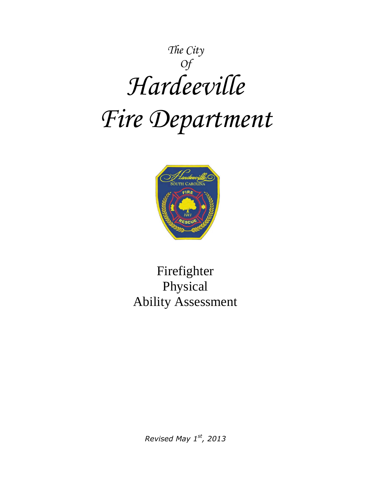# *The City Of Hardeeville Fire Department*



# Firefighter Physical Ability Assessment

*Revised May 1st, 2013*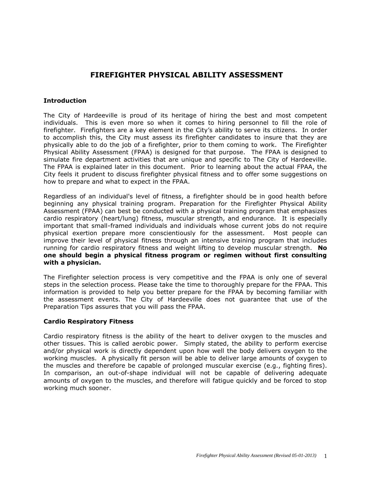# **FIREFIGHTER PHYSICAL ABILITY ASSESSMENT**

#### **Introduction**

The City of Hardeeville is proud of its heritage of hiring the best and most competent individuals. This is even more so when it comes to hiring personnel to fill the role of firefighter. Firefighters are a key element in the City's ability to serve its citizens. In order to accomplish this, the City must assess its firefighter candidates to insure that they are physically able to do the job of a firefighter, prior to them coming to work. The Firefighter Physical Ability Assessment (FPAA) is designed for that purpose. The FPAA is designed to simulate fire department activities that are unique and specific to The City of Hardeeville. The FPAA is explained later in this document. Prior to learning about the actual FPAA, the City feels it prudent to discuss firefighter physical fitness and to offer some suggestions on how to prepare and what to expect in the FPAA.

Regardless of an individual's level of fitness, a firefighter should be in good health before beginning any physical training program. Preparation for the Firefighter Physical Ability Assessment (FPAA) can best be conducted with a physical training program that emphasizes cardio respiratory (heart/lung) fitness, muscular strength, and endurance. It is especially important that small-framed individuals and individuals whose current jobs do not require physical exertion prepare more conscientiously for the assessment. Most people can improve their level of physical fitness through an intensive training program that includes running for cardio respiratory fitness and weight lifting to develop muscular strength. **No one should begin a physical fitness program or regimen without first consulting with a physician.**

The Firefighter selection process is very competitive and the FPAA is only one of several steps in the selection process. Please take the time to thoroughly prepare for the FPAA. This information is provided to help you better prepare for the FPAA by becoming familiar with the assessment events. The City of Hardeeville does not guarantee that use of the Preparation Tips assures that you will pass the FPAA.

#### **Cardio Respiratory Fitness**

Cardio respiratory fitness is the ability of the heart to deliver oxygen to the muscles and other tissues. This is called aerobic power. Simply stated, the ability to perform exercise and/or physical work is directly dependent upon how well the body delivers oxygen to the working muscles. A physically fit person will be able to deliver large amounts of oxygen to the muscles and therefore be capable of prolonged muscular exercise (e.g., fighting fires). In comparison, an out-of-shape individual will not be capable of delivering adequate amounts of oxygen to the muscles, and therefore will fatigue quickly and be forced to stop working much sooner.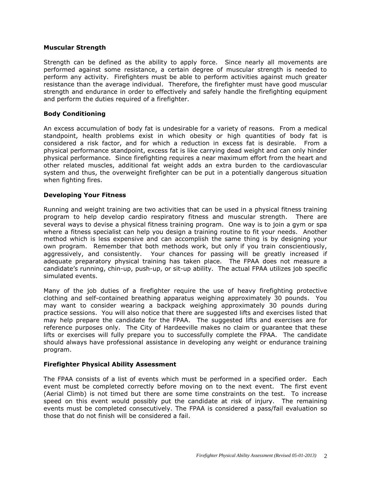#### **Muscular Strength**

Strength can be defined as the ability to apply force. Since nearly all movements are performed against some resistance, a certain degree of muscular strength is needed to perform any activity. Firefighters must be able to perform activities against much greater resistance than the average individual. Therefore, the firefighter must have good muscular strength and endurance in order to effectively and safely handle the firefighting equipment and perform the duties required of a firefighter.

#### **Body Conditioning**

An excess accumulation of body fat is undesirable for a variety of reasons. From a medical standpoint, health problems exist in which obesity or high quantities of body fat is considered a risk factor, and for which a reduction in excess fat is desirable. From a physical performance standpoint, excess fat is like carrying dead weight and can only hinder physical performance. Since firefighting requires a near maximum effort from the heart and other related muscles, additional fat weight adds an extra burden to the cardiovascular system and thus, the overweight firefighter can be put in a potentially dangerous situation when fighting fires.

## **Developing Your Fitness**

Running and weight training are two activities that can be used in a physical fitness training program to help develop cardio respiratory fitness and muscular strength. There are several ways to devise a physical fitness training program. One way is to join a gym or spa where a fitness specialist can help you design a training routine to fit your needs. Another method which is less expensive and can accomplish the same thing is by designing your own program. Remember that both methods work, but only if you train conscientiously, aggressively, and consistently. Your chances for passing will be greatly increased if adequate preparatory physical training has taken place. The FPAA does not measure a candidate's running, chin-up, push-up, or sit-up ability. The actual FPAA utilizes job specific simulated events.

Many of the job duties of a firefighter require the use of heavy firefighting protective clothing and self-contained breathing apparatus weighing approximately 30 pounds. You may want to consider wearing a backpack weighing approximately 30 pounds during practice sessions. You will also notice that there are suggested lifts and exercises listed that may help prepare the candidate for the FPAA. The suggested lifts and exercises are for reference purposes only. The City of Hardeeville makes no claim or guarantee that these lifts or exercises will fully prepare you to successfully complete the FPAA. The candidate should always have professional assistance in developing any weight or endurance training program.

#### **Firefighter Physical Ability Assessment**

The FPAA consists of a list of events which must be performed in a specified order. Each event must be completed correctly before moving on to the next event. The first event (Aerial Climb) is not timed but there are some time constraints on the test. To increase speed on this event would possibly put the candidate at risk of injury. The remaining events must be completed consecutively. The FPAA is considered a pass/fail evaluation so those that do not finish will be considered a fail.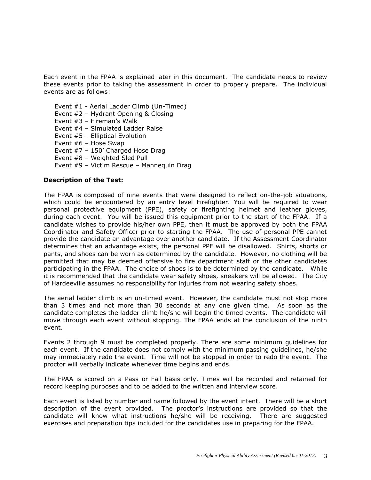Each event in the FPAA is explained later in this document. The candidate needs to review these events prior to taking the assessment in order to properly prepare. The individual events are as follows:

Event #1 - Aerial Ladder Climb (Un-Timed) Event #2 – Hydrant Opening & Closing Event #3 – Fireman's Walk Event #4 – Simulated Ladder Raise Event #5 – Elliptical Evolution Event #6 – Hose Swap Event #7 – 150' Charged Hose Drag Event #8 – Weighted Sled Pull Event #9 – Victim Rescue – Mannequin Drag

## **Description of the Test:**

The FPAA is composed of nine events that were designed to reflect on-the-job situations, which could be encountered by an entry level Firefighter. You will be required to wear personal protective equipment (PPE), safety or firefighting helmet and leather gloves, during each event. You will be issued this equipment prior to the start of the FPAA. If a candidate wishes to provide his/her own PPE, then it must be approved by both the FPAA Coordinator and Safety Officer prior to starting the FPAA. The use of personal PPE cannot provide the candidate an advantage over another candidate. If the Assessment Coordinator determines that an advantage exists, the personal PPE will be disallowed. Shirts, shorts or pants, and shoes can be worn as determined by the candidate. However, no clothing will be permitted that may be deemed offensive to fire department staff or the other candidates participating in the FPAA. The choice of shoes is to be determined by the candidate. While it is recommended that the candidate wear safety shoes, sneakers will be allowed. The City of Hardeeville assumes no responsibility for injuries from not wearing safety shoes.

The aerial ladder climb is an un-timed event. However, the candidate must not stop more than 3 times and not more than 30 seconds at any one given time. As soon as the candidate completes the ladder climb he/she will begin the timed events. The candidate will move through each event without stopping. The FPAA ends at the conclusion of the ninth event.

Events 2 through 9 must be completed properly. There are some minimum guidelines for each event. If the candidate does not comply with the minimum passing guidelines, he/she may immediately redo the event. Time will not be stopped in order to redo the event. The proctor will verbally indicate whenever time begins and ends.

The FPAA is scored on a Pass or Fail basis only. Times will be recorded and retained for record keeping purposes and to be added to the written and interview score.

Each event is listed by number and name followed by the event intent. There will be a short description of the event provided. The proctor's instructions are provided so that the candidate will know what instructions he/she will be receiving. There are suggested exercises and preparation tips included for the candidates use in preparing for the FPAA.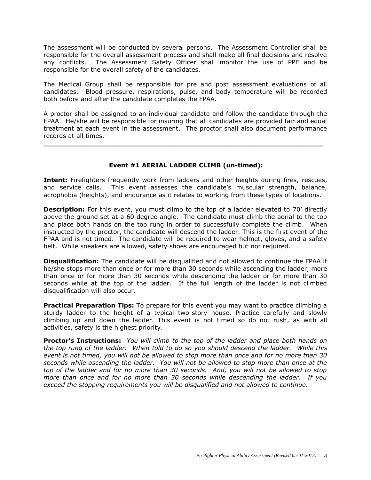The assessment will be conducted by several persons. The Assessment Controller shall be responsible for the overall assessment process and shall make all final decisions and resolve any conflicts. The Assessment Safety Officer shall monitor the use of PPE and be responsible for the overall safety of the candidates.

The Medical Group shall be responsible for pre and post assessment evaluations of all candidates. Blood pressure, respirations, pulse, and body temperature will be recorded both before and after the candidate completes the FPAA.

A proctor shall be assigned to an individual candidate and follow the candidate through the FPAA. He/she will be responsible for insuring that all candidates are provided fair and equal treatment at each event in the assessment. The proctor shall also document performance records at all times.

**\_\_\_\_\_\_\_\_\_\_\_\_\_\_\_\_\_\_\_\_\_\_\_\_\_\_\_\_\_\_\_\_\_\_\_\_\_\_\_\_\_\_\_\_\_\_\_\_\_\_\_\_\_\_\_\_\_\_\_\_\_\_\_\_\_**

# **Event #1 AERIAL LADDER CLIMB (un-timed):**

Intent: Firefighters frequently work from ladders and other heights during fires, rescues, and service calls. This event assesses the candidate's muscular strength, balance, acrophobia (heights), and endurance as it relates to working from these types of locations.

**Description:** For this event, you must climb to the top of a ladder elevated to 70' directly above the ground set at a 60 degree angle. The candidate must climb the aerial to the top and place both hands on the top rung in order to successfully complete the climb. When instructed by the proctor, the candidate will descend the ladder. This is the first event of the FPAA and is not timed. The candidate will be required to wear helmet, gloves, and a safety belt. While sneakers are allowed, safety shoes are encouraged but not required.

**Disqualification:** The candidate will be disqualified and not allowed to continue the FPAA if he/she stops more than once or for more than 30 seconds while ascending the ladder, more than once or for more than 30 seconds while descending the ladder or for more than 30 seconds while at the top of the ladder. If the full length of the ladder is not climbed disqualification will also occur.

**Practical Preparation Tips:** To prepare for this event you may want to practice climbing a sturdy ladder to the height of a typical two-story house. Practice carefully and slowly climbing up and down the ladder. This event is not timed so do not rush, as with all activities, safety is the highest priority.

**Proctor's Instructions:** *You will climb to the top of the ladder and place both hands on the top rung of the ladder. When told to do so you should descend the ladder. While this event is not timed, you will not be allowed to stop more than once and for no more than 30 seconds while ascending the ladder. You will not be allowed to stop more than once at the top of the ladder and for no more than 30 seconds. And, you will not be allowed to stop more than once and for no more than 30 seconds while descending the ladder. If you exceed the stopping requirements you will be disqualified and not allowed to continue.*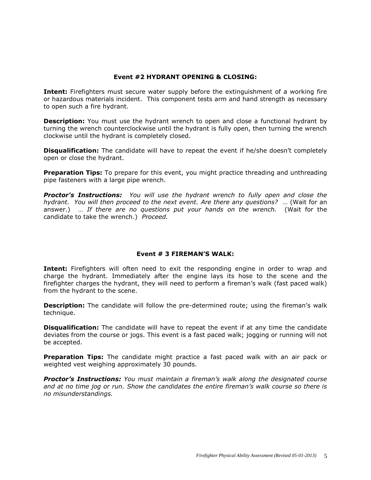# **Event #2 HYDRANT OPENING & CLOSING:**

**Intent:** Firefighters must secure water supply before the extinguishment of a working fire or hazardous materials incident. This component tests arm and hand strength as necessary to open such a fire hydrant.

**Description:** You must use the hydrant wrench to open and close a functional hydrant by turning the wrench counterclockwise until the hydrant is fully open, then turning the wrench clockwise until the hydrant is completely closed.

**Disqualification:** The candidate will have to repeat the event if he/she doesn't completely open or close the hydrant.

**Preparation Tips:** To prepare for this event, you might practice threading and unthreading pipe fasteners with a large pipe wrench.

*Proctor's Instructions: You will use the hydrant wrench to fully open and close the hydrant. You will then proceed to the next event. Are there any questions?* … (Wait for an answer.) … *If there are no questions put your hands on the wrench.* (Wait for the candidate to take the wrench.) *Proceed.*

## **Event # 3 FIREMAN'S WALK:**

**Intent:** Firefighters will often need to exit the responding engine in order to wrap and charge the hydrant. Immediately after the engine lays its hose to the scene and the firefighter charges the hydrant, they will need to perform a fireman's walk (fast paced walk) from the hydrant to the scene.

**Description:** The candidate will follow the pre-determined route; using the fireman's walk technique.

**Disqualification:** The candidate will have to repeat the event if at any time the candidate deviates from the course or jogs. This event is a fast paced walk; jogging or running will not be accepted.

**Preparation Tips:** The candidate might practice a fast paced walk with an air pack or weighted vest weighing approximately 30 pounds.

*Proctor's Instructions: You must maintain a fireman's walk along the designated course and at no time jog or run. Show the candidates the entire fireman's walk course so there is no misunderstandings.*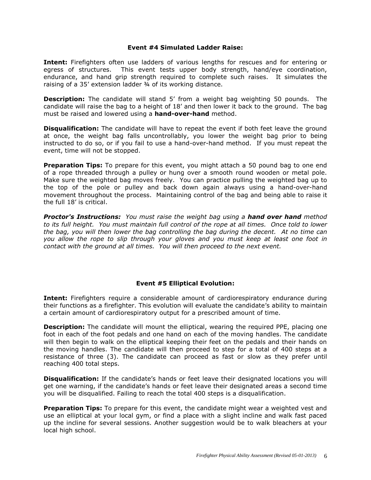#### **Event #4 Simulated Ladder Raise:**

**Intent:** Firefighters often use ladders of various lengths for rescues and for entering or egress of structures. This event tests upper body strength, hand/eye coordination, endurance, and hand grip strength required to complete such raises. It simulates the raising of a 35' extension ladder ¾ of its working distance.

**Description:** The candidate will stand 5' from a weight bag weighting 50 pounds. The candidate will raise the bag to a height of 18' and then lower it back to the ground. The bag must be raised and lowered using a **hand-over-hand** method.

**Disqualification:** The candidate will have to repeat the event if both feet leave the ground at once, the weight bag falls uncontrollably, you lower the weight bag prior to being instructed to do so, or if you fail to use a hand-over-hand method. If you must repeat the event, time will not be stopped.

**Preparation Tips:** To prepare for this event, you might attach a 50 pound bag to one end of a rope threaded through a pulley or hung over a smooth round wooden or metal pole. Make sure the weighted bag moves freely. You can practice pulling the weighted bag up to the top of the pole or pulley and back down again always using a hand-over-hand movement throughout the process. Maintaining control of the bag and being able to raise it the full 18' is critical.

*Proctor's Instructions: You must raise the weight bag using a hand over hand method to its full height. You must maintain full control of the rope at all times. Once told to lower the bag, you will then lower the bag controlling the bag during the decent. At no time can you allow the rope to slip through your gloves and you must keep at least one foot in contact with the ground at all times. You will then proceed to the next event.*

## **Event #5 Elliptical Evolution:**

**Intent:** Firefighters require a considerable amount of cardiorespiratory endurance during their functions as a firefighter. This evolution will evaluate the candidate's ability to maintain a certain amount of cardiorespiratory output for a prescribed amount of time.

**Description:** The candidate will mount the elliptical, wearing the required PPE, placing one foot in each of the foot pedals and one hand on each of the moving handles. The candidate will then begin to walk on the elliptical keeping their feet on the pedals and their hands on the moving handles. The candidate will then proceed to step for a total of 400 steps at a resistance of three (3). The candidate can proceed as fast or slow as they prefer until reaching 400 total steps.

**Disqualification:** If the candidate's hands or feet leave their designated locations you will get one warning, if the candidate's hands or feet leave their designated areas a second time you will be disqualified. Failing to reach the total 400 steps is a disqualification.

**Preparation Tips:** To prepare for this event, the candidate might wear a weighted vest and use an elliptical at your local gym, or find a place with a slight incline and walk fast paced up the incline for several sessions. Another suggestion would be to walk bleachers at your local high school.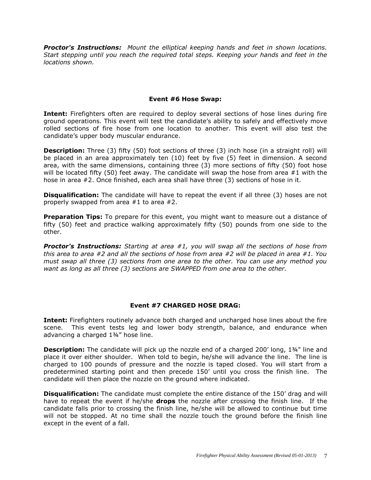*Proctor's Instructions: Mount the elliptical keeping hands and feet in shown locations. Start stepping until you reach the required total steps. Keeping your hands and feet in the locations shown.*

#### **Event #6 Hose Swap:**

**Intent:** Firefighters often are required to deploy several sections of hose lines during fire ground operations. This event will test the candidate's ability to safely and effectively move rolled sections of fire hose from one location to another. This event will also test the candidate's upper body muscular endurance.

**Description:** Three (3) fifty (50) foot sections of three (3) inch hose (in a straight roll) will be placed in an area approximately ten (10) feet by five (5) feet in dimension. A second area, with the same dimensions, containing three (3) more sections of fifty (50) foot hose will be located fifty (50) feet away. The candidate will swap the hose from area #1 with the hose in area #2. Once finished, each area shall have three (3) sections of hose in it.

**Disqualification:** The candidate will have to repeat the event if all three (3) hoses are not properly swapped from area #1 to area #2.

**Preparation Tips:** To prepare for this event, you might want to measure out a distance of fifty (50) feet and practice walking approximately fifty (50) pounds from one side to the other.

*Proctor's Instructions: Starting at area #1, you will swap all the sections of hose from this area to area #2 and all the sections of hose from area #2 will be placed in area #1. You must swap all three (3) sections from one area to the other. You can use any method you want as long as all three (3) sections are SWAPPED from one area to the other.*

#### **Event #7 CHARGED HOSE DRAG:**

**Intent:** Firefighters routinely advance both charged and uncharged hose lines about the fire scene. This event tests leg and lower body strength, balance, and endurance when advancing a charged 1¾" hose line.

**Description:** The candidate will pick up the nozzle end of a charged 200' long, 1¾" line and place it over either shoulder. When told to begin, he/she will advance the line. The line is charged to 100 pounds of pressure and the nozzle is taped closed. You will start from a predetermined starting point and then precede 150' until you cross the finish line. The candidate will then place the nozzle on the ground where indicated.

**Disqualification:** The candidate must complete the entire distance of the 150' drag and will have to repeat the event if he/she **drops** the nozzle after crossing the finish line. If the candidate falls prior to crossing the finish line, he/she will be allowed to continue but time will not be stopped. At no time shall the nozzle touch the ground before the finish line except in the event of a fall.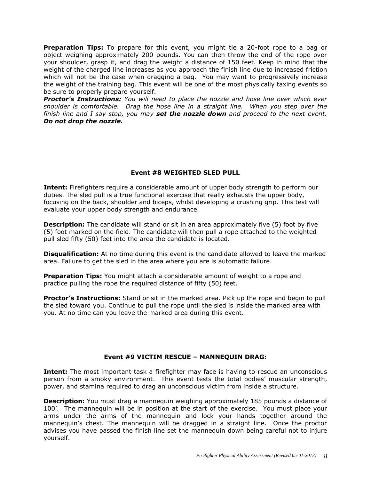**Preparation Tips:** To prepare for this event, you might tie a 20-foot rope to a bag or object weighing approximately 200 pounds. You can then throw the end of the rope over your shoulder, grasp it, and drag the weight a distance of 150 feet. Keep in mind that the weight of the charged line increases as you approach the finish line due to increased friction which will not be the case when dragging a bag. You may want to progressively increase the weight of the training bag. This event will be one of the most physically taxing events so be sure to properly prepare yourself.

*Proctor's Instructions: You will need to place the nozzle and hose line over which ever shoulder is comfortable. Drag the hose line in a straight line. When you step over the finish line and I say stop, you may set the nozzle down and proceed to the next event. Do not drop the nozzle.*

# **Event #8 WEIGHTED SLED PULL**

**Intent:** Firefighters require a considerable amount of upper body strength to perform our duties. The sled pull is a true functional exercise that really exhausts the upper body, focusing on the back, shoulder and biceps, whilst developing a crushing grip. This test will evaluate your upper body strength and endurance.

**Description:** The candidate will stand or sit in an area approximately five (5) foot by five (5) foot marked on the field. The candidate will then pull a rope attached to the weighted pull sled fifty (50) feet into the area the candidate is located.

**Disqualification:** At no time during this event is the candidate allowed to leave the marked area. Failure to get the sled in the area where you are is automatic failure.

**Preparation Tips:** You might attach a considerable amount of weight to a rope and practice pulling the rope the required distance of fifty (50) feet.

**Proctor's Instructions:** Stand or sit in the marked area. Pick up the rope and begin to pull the sled toward you. Continue to pull the rope until the sled is inside the marked area with you. At no time can you leave the marked area during this event.

# **Event #9 VICTIM RESCUE – MANNEQUIN DRAG:**

**Intent:** The most important task a firefighter may face is having to rescue an unconscious person from a smoky environment. This event tests the total bodies' muscular strength, power, and stamina required to drag an unconscious victim from inside a structure.

**Description:** You must drag a mannequin weighing approximately 185 pounds a distance of 100'. The mannequin will be in position at the start of the exercise. You must place your arms under the arms of the mannequin and lock your hands together around the mannequin's chest. The mannequin will be dragged in a straight line. Once the proctor advises you have passed the finish line set the mannequin down being careful not to injure yourself.